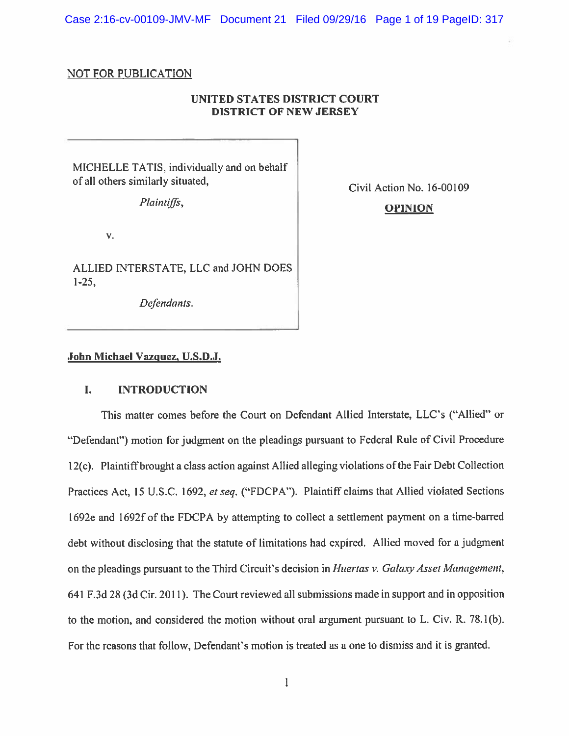Case 2:16-cv-00109-JMV-MF Document 21 Filed 09/29/16 Page 1 of 19 PageID: 317

#### NOT FOR PUBLICATION

# UNITED STATES DISTRICT COURT DISTRICT OF NEW JERSEY

MICHELLE TATIS, individually and on behalf of all others similarly situated,<br>
Civil Action No. 16-00109

# Plaintiffs, **OPINION**

v.

ALLIED INTERSTATE, LLC and JOHN DOES 1-25

Defendants.

## John Michael Vazguez, U.S.D.J.

## I. INTRODUCTION

This matter comes before the Court on Defendant Allied Interstate, LLC's ("Allied" or "Defendant") motion for judgment on the <sup>p</sup>leadings pursuan<sup>t</sup> to Federal Rule of Civil Procedure 12(c). Plaintiff brought a class action against Allied alleging violations of the Fair Debt Collection Practices Act, 15 U.S.C. 1692, et seq. ("FDCPA"). Plaintiff claims that Allied violated Sections 1692e and 1692f of the FDCPA by attempting to collect <sup>a</sup> settlement paymen<sup>t</sup> on <sup>a</sup> time-barred debt without disclosing that the statute of limitations had expired. Allied moved for <sup>a</sup> judgment on the pleadings pursuant to the Third Circuit's decision in Huertas v. Galaxy Asset Management, 641 F.3d 2\$ (3d Cir. 2011). The Court reviewed all submissions made in suppor<sup>t</sup> and in opposition to the motion, and considered the motion without oral argumen<sup>t</sup> pursuan<sup>t</sup> to L. Civ. R. 78.1(b). For the reasons that follow, Defendant's motion is treated as <sup>a</sup> one to dismiss and it is granted.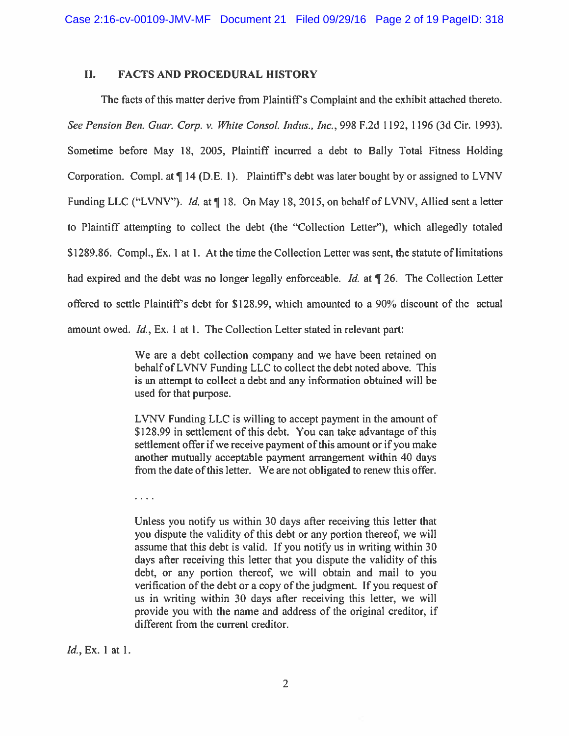## II. FACTS AND PROCEDURAL HISTORY

The facts of this matter derive from Plaintiffs Complaint and the exhibit attached thereto. See Pension Ben. Guar. Corp. v. White Consol. Indus., Inc., 998 F.2d 1192, 1196 (3d Cir. 1993). Sometime before May 18, 2005, Plaintiff incurred a debt to Bally Total Fitness Holding Corporation. Compl. at  $\P$  14 (D.E. 1). Plaintiff's debt was later bought by or assigned to LVNV Funding LLC ("LVNV"). Id. at  $\P$  18. On May 18, 2015, on behalf of LVNV, Allied sent a letter to Plaintiff attempting to collect the debt (the "Collection Letter"), which allegedly totaled \$1289.86. Compl., Ex. I at 1. At the time the Collection Letter was sent, the statute of limitations had expired and the debt was no longer legally enforceable. Id. at  $\P$  26. The Collection Letter offered to settle Plaintiffs debt for \$128.99, which amounted to <sup>a</sup> 90% discount of the actual amount owed. Id., Ex. I at I. The Collection Letter stated in relevant part:

> We are <sup>a</sup> debt collection company and we have been retained on behalf of LVNV Funding LLC to collect the debt noted above. This is an attempt to collect <sup>a</sup> debt and any information obtained will be used for that purpose.

> LVNV Funding LLC is willing to accep<sup>t</sup> paymen<sup>t</sup> in the amount of \$128.99 in settlement of this debt. You can take advantage of this settlement offer if we receive payment of this amount or if you make another mutually acceptable paymen<sup>t</sup> arrangemen<sup>t</sup> within 40 days from the date of this letter. We are not obligated to renew this offer.

 $\frac{1}{2}$  . The set of  $\frac{1}{2}$ 

Unless you notify us within 30 days after receiving this letter that you dispute the validity of this debt or any portion thereof, we will assume that this debt is valid. If you notify us in writing within 30 days after receiving this letter that you dispute the validity of this debt, or any portion thereof, we will obtain and mail to you verification of the debt or <sup>a</sup> copy of the judgment. If you reques<sup>t</sup> of us in writing within 30 days after receiving this letter, we will provide you with the name and address of the original creditor, if different from the current creditor.

Id., Ex. 1 at I.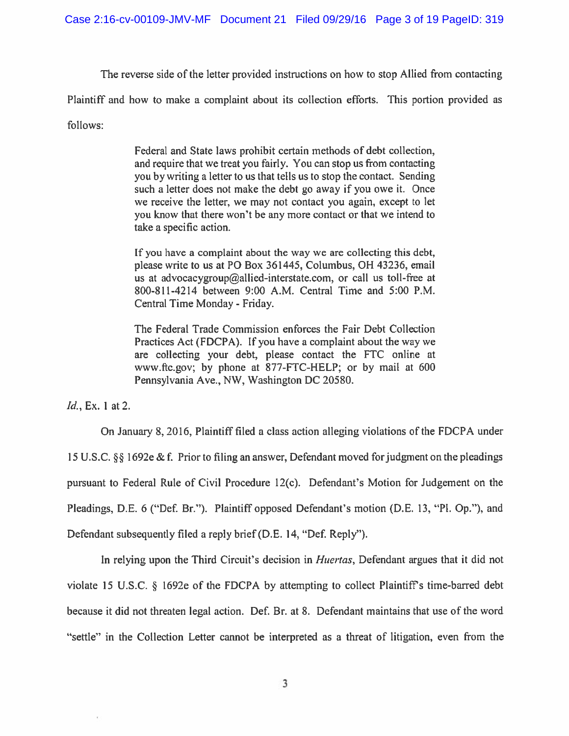The reverse side of the letter provided instructions on how to stop Allied from contacting

Plaintiff and how to make <sup>a</sup> complaint about its collection efforts. This portion provided as

follows:

Federal and State laws prohibit certain methods of debt collection, and require that we treat you fairly. You can stop us from contacting you by writing <sup>a</sup> letter to us that tells us to stop the contact. Sending such <sup>a</sup> letter does not make the debt go away if you owe it. Once we receive the letter, we may not contact you again, excep<sup>t</sup> to let you know that there won't be any more contact or that we intend to take <sup>a</sup> specific action.

If you have <sup>a</sup> complaint about the way we are collecting this debt, please write to us at P0 Box 361445, Columbus, OH 43236, email us at advocacygroup@allied-interstate.com, or call us toll-free at 800-811-4214 between 9:00 A.M. Central Time and 5:00 P.M. Central Time Monday - Friday.

The Federal Trade Commission enforces the Fair Debt Collection Practices Act (FDCPA). If you have <sup>a</sup> complaint about the way we are collecting your debt, please contact the FTC online at www.flc.gov; by phone at 877-FTC-HELP; or by mail at 600 Pennsylvania Ave., NW, Washington DC 20580.

Id., Ex. I at 2.

On January 8,2016, Plaintiff filed <sup>a</sup> class action alleging violations of the FDCPA under 15 U.S.C. §§ 1692e & f. Prior to filing an answer, Defendant moved for judgment on the pleadings pursuan<sup>t</sup> to Federal Rule of Civil Procedure 12(c). Defendant's Motion for Judgement on the Pleadings, D.E. 6 ("Def. Br."). Plaintiff opposed Defendant's motion (D.E. 13, "Pl. Op."), and Defendant subsequently filed a reply brief (D.E. 14, "Def. Reply").

In relying upon the Third Circuit's decision in *Huertas*, Defendant argues that it did not violate 15 U.S.C. § 1692e of the FDCPA by attempting to collect Plaintiff's time-barred debt because it did not threaten legal action. Def. Br. at 8. Defendant maintains that use of the word "settle" in the Collection Letter cannot be interpreted as <sup>a</sup> threat of litigation, even from the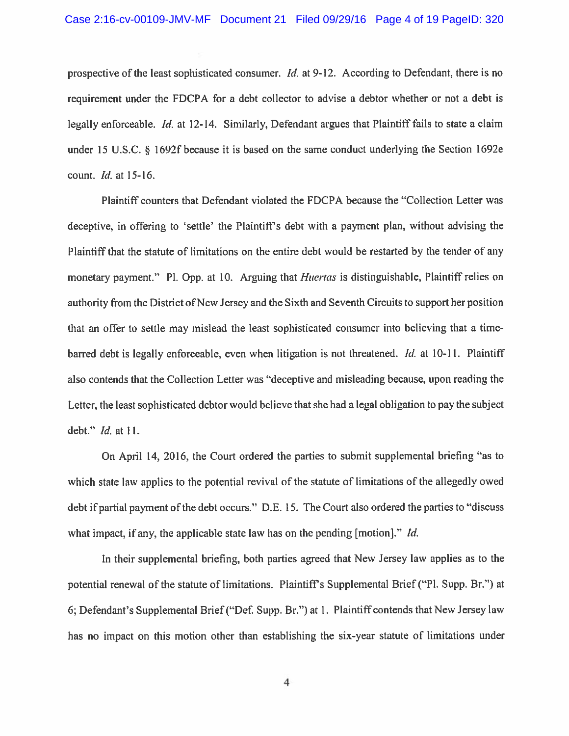prospective of the least sophisticated consumer. *Id.* at 9-12. According to Defendant, there is no requirement under the FDCPA for <sup>a</sup> debt collector to advise <sup>a</sup> debtor whether or not <sup>a</sup> debt is legally enforceable. Id. at 12-14. Similarly, Defendant argues that Plaintiff fails to state <sup>a</sup> claim under <sup>15</sup> U.S.C. § 1692f because it is based on the same conduct underlying the Section 1692e count. Id. at 15-16.

Plaintiff counters that Defendant violated the FDCPA because the "collection Letter was deceptive, in offering to 'settle' the Plaintiff's debt with a payment plan, without advising the Plaintiff that the statute of limitations on the entire debt would be restarted by the tender of any monetary payment." Pl. Opp. at 10. Arguing that *Huertas* is distinguishable, Plaintiff relies on authority from the District of New Jersey and the Sixth and Seventh Circuits to suppor<sup>t</sup> her position that an offer to settle may mislead the least sophisticated consumer into believing that <sup>a</sup> timebarred debt is legally enforceable, even when litigation is not threatened. *Id.* at 10-11. Plaintiff also contends that the Collection Letter was "deceptive and misleading because, upon reading the Letter, the least sophisticated debtor would believe that she had <sup>a</sup> legal obligation to pay the subject debt." Id. at 11.

On April 14, 2016, the Court ordered the parties to submit supplemental briefing "as to which state law applies to the potential revival of the statute of limitations of the allegedly owed debt if partial paymen<sup>t</sup> of the debt occurs." D.E. 15. The Court also ordered the parties to "discuss what impact, if any, the applicable state law has on the pending [motion]." *Id.* 

In their supplemental briefing, both parties agreed that New Jersey law applies as to the potential renewal of the statute of limitations. Plaintiff's Supplemental Brief ("Pl. Supp. Br.") at 6; Defendant's Supplemental Brief ("DeE Supp. Br.") at 1. Plaintiff contends that New Jersey law has no impact on this motion other than establishing the six-year statute of limitations under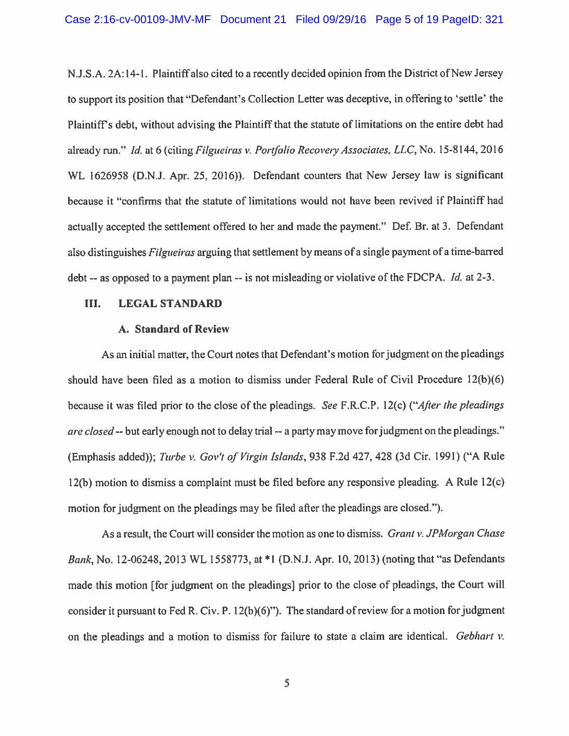N.J.S.A. 2A: 14-1. Plaintiff also cited to <sup>a</sup> recently decided opinion from the District of New Jersey to suppor<sup>t</sup> its position that "Defendant's Collection Letter was deceptive, in offering to 'settle' the Plaintiff's debt, without advising the Plaintiff that the statute of limitations on the entire debt had already run." Id. at 6 (citing Filgueiras v. Portfolio Recovery Associates, LLC, No. 15-8144, 2016 WL 1626958 (D.N.J. Apr. 25, 2016)). Defendant counters that New Jersey law is significant because it "confirms that the statute of limitations would not have been revived if Plaintiff had actually accepted the settlement offered to her and made the payment." Def. Br. at 3. Defendant also distinguishes *Filgueiras* arguing that settlement by means of a single payment of a time-barred debt -- as opposed to a payment plan -- is not misleading or violative of the FDCPA. *Id.* at 2-3.

### III. LEGAL STANDARD

### A. Standard of Review

As an initial matter, the Court notes that Defendant's motion for judgment on the pleadings should have been filed as <sup>a</sup> motion to dismiss under Federal Rule of Civil Procedure 12(b)(6) because it was filed prior to the close of the <sup>p</sup>leadings. See F.R.C.P. 12(c) ("After the <sup>p</sup>leadings are closed -- but early enough not to delay trial -- a party may move for judgment on the pleadings." (Emphasis added)); Turbe v. Gov't of Virgin Islands, 938 F.2d 427, 428 (3d Cir. 1991) ("A Rule 12(b) motion to dismiss <sup>a</sup> complaint must be filed before any responsive <sup>p</sup>leading. <sup>A</sup> Rule 12(c) motion for judgment on the <sup>p</sup>leadings may be filed after the <sup>p</sup>leadings are closed.").

As a result, the Court will consider the motion as one to dismiss. Grant v. JPMorgan Chase Bank, No. 12-06248, 2013 WL 1558773, at \*1 (D.N.J. Apr. 10, 2013) (noting that "as Defendants made this motion [for judgment on the <sup>p</sup>leadings] prior to the close of <sup>p</sup>leadings, the Court will consider it pursuant to Fed R. Civ. P.  $12(b)(6)$ "). The standard of review for a motion for judgment on the pleadings and a motion to dismiss for failure to state a claim are identical. Gebhart  $v$ .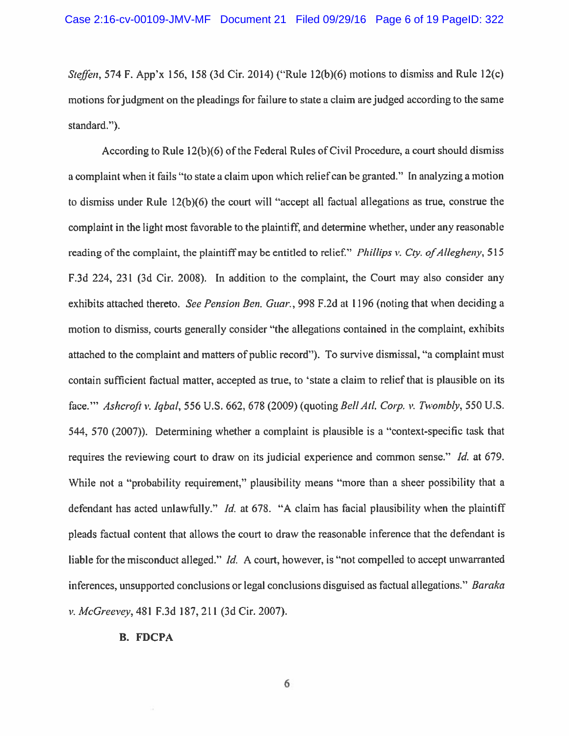Steffen, 574 F. App'x 156, 158 (3d Cir. 2014) ("Rule 12(b)(6) motions to dismiss and Rule 12(c) motions for judgment on the <sup>p</sup>leadings for failure to state <sup>a</sup> claim are judged according to the same standard.").

According to Rule 12(b)(6) of the Federal Rules of Civil Procedure, <sup>a</sup> court should dismiss <sup>a</sup> complaint when it fails "to state <sup>a</sup> claim upon which relief can be granted." In analyzing <sup>a</sup> motion to dismiss under Rule  $12(b)(6)$  the court will "accept all factual allegations as true, construe the complaint in the light most favorable to the <sup>p</sup>laintiff, and determine whether, under any reasonable reading of the complaint, the plaintiff may be entitled to relief." *Phillips v. Cty. of Allegheny*, 515 F.3d 224, 231 (3d Cir. 2008). In addition to the complaint, the Court may also consider any exhibits attached thereto. See Pension Ben. Guar., 998 F.2d at 1196 (noting that when deciding a motion to dismiss, courts generally consider "the allegations contained in the complaint, exhibits attached to the complaint and matters of public record"). To survive dismissal, "a complaint must contain sufficient factual matter, accepted as true, to 'state <sup>a</sup> claim to relief that is plausible on its face." Ashcroft v. Iqbal, 556 U.S. 662, 678 (2009) (quoting Bell Atl. Corp. v. Twombly, 550 U.S. 544, 570 (2007)). Determining whether <sup>a</sup> complaint is plausible is <sup>a</sup> "context-specific task that requires the reviewing court to draw on its judicial experience and common sense." Id. at 679. While not a "probability requirement," plausibility means "more than a sheer possibility that a defendant has acted unlawfully." *Id.* at 678. "A claim has facial plausibility when the plaintiff <sup>p</sup>leads factual content that allows the court to draw the reasonable inference that the defendant is liable for the misconduct alleged." *Id.* A court, however, is "not compelled to accept unwarranted inferences, unsupported conclusions or legal conclusions disguised as factual allegations." Baraka v. McGreevey, 481 F.3d 187, 211 (3d Cir. 2007).

#### B. FDCPA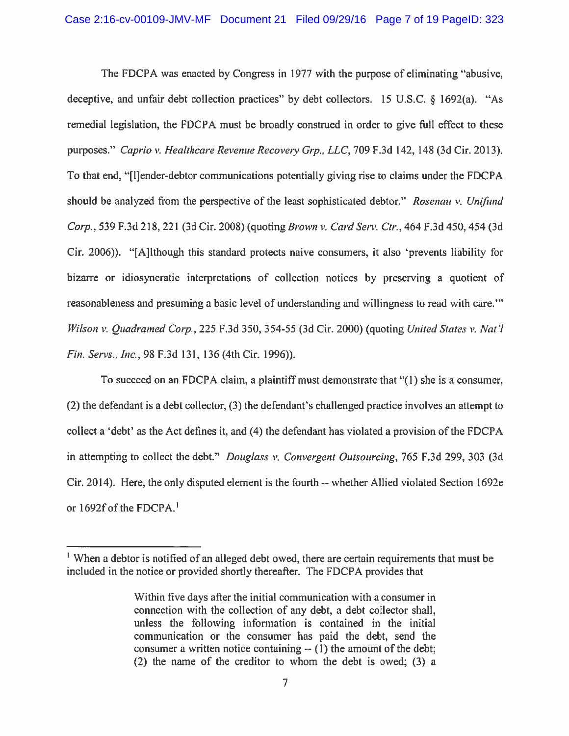The FDCPA was enacted by Congress in 1977 with the purpose of eliminating "abusive, deceptive, and unfair debt collection practices" by debt collectors. <sup>15</sup> U.S.C. § 1692(a). "As remedial legislation, the FDCPA must be broadly construed in order to give full effect to these purposes." Caprio v. Healthcare Revenue Recovery Grp., LLC, 709 F.3d 142, 148 (3d Cir. 2013). To that end. "[l]ender-debtor communications potentially giving rise to claims under the FDCPA should be analyzed from the perspective of the least sophisticated debtor." Rosenau v. Unifund Corp., 539 F.3d 218, 221 (3d Cir. 2008) (quoting Brown v. Card Serv. Ctr., 464 F.3d 450, 454 (3d Cir. 2006)). "[Ajlthough this standard protects naive consumers, it also 'prevents liability for bizarre or idiosyncratic interpretations of collection notices by preserving <sup>a</sup> quotient of reasonableness and presuming <sup>a</sup> basic level of understanding and willingness to read with care." Wilson v. Quadramed Corp., 225 F.3d 350, 354-55 (3d Cir. 2000) (quoting United States v. Nat'l Fin. Servs., Inc., 98 F.3d 131, 136 (4th Cir. 1996)).

To succeed on an FDCPA claim, <sup>a</sup> plaintiff must demonstrate that "(1) she is <sup>a</sup> consumer, (2) the defendant is <sup>a</sup> debt collector, (3) the defendant's challenged practice involves an attempt to collect <sup>a</sup> 'debt' as the Act defines it. and (4) the defendant has violated <sup>a</sup> provision of the FDCPA in attempting to collect the debt." Douglass v. Convergent Outsourcing, 765 F.3d 299, 303 (3d Cir. 2014). Here, the only disputed element is the fourth-- whether Allied violated Section 1 692e or 1692f of the FDCPA.'

When <sup>a</sup> debtor is notified of an alleged debt owed, there are certain requirements that must be included in the notice or provided shortly thereafter. The FDCPA provides that

Within five days after the initial communication with <sup>a</sup> consumer in connection with the collection of any debt, <sup>a</sup> debt collector shall, unless the following information is contained in the initial communication or the consumer has paid the debt, send the consumer <sup>a</sup> written notice containing-- (1) the amount of the debt; (2) the name of the creditor to whom the debt is owed; (3) <sup>a</sup>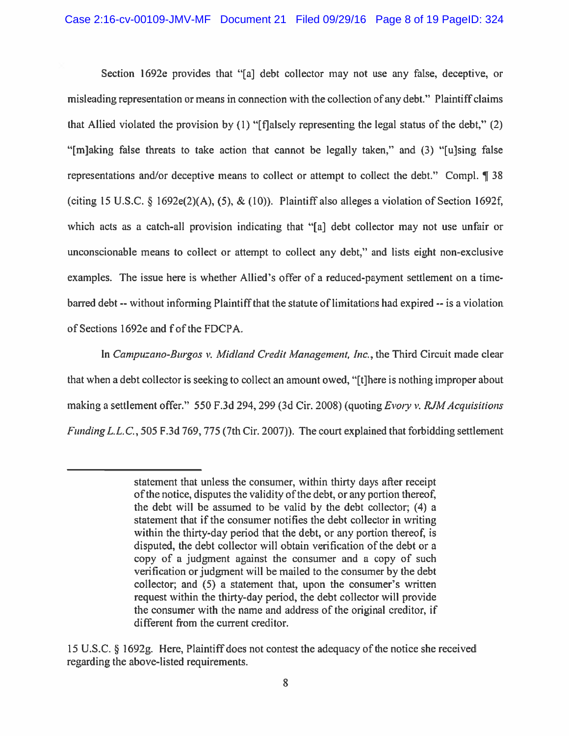Section 1692e provides that "[a] debt collector may not use any false, deceptive, or misleading representation or means in connection with the collection of any debt." Plaintiff claims that Allied violated the provision by (I) "[flalsely representing the legal status of the debt," (2) "[m]aking false threats to take action that cannot be legally taken," and (3) "[u]sing false representations and/or deceptive means to collect or attempt to collect the debt." Compl. ¶ <sup>38</sup> (citing 15 U.S.C. § 1692e(2)(A), (5), & (10)). Plaintiff also alleges a violation of Section 1692f, which acts as <sup>a</sup> catch-all provision indicating that "[a] debt collector may not use unfair or unconscionable means to collect or attempt to collect any debt," and lists eight non-exclusive examples. The issue here is whether Allied's offer of <sup>a</sup> reduced-payment settlement on <sup>a</sup> timebarred debt --without informing Plaintiff that the statute oflimitations had expired -- is <sup>a</sup> violation of Sections 1692e and f of the FDCPA.

In Campuzano-Burgos v. Midland Credit Management, Inc., the Third Circuit made clear that when <sup>a</sup> debt collector is seeking to collect an amount owed, "[t]here is nothing improper about making a settlement offer." 550 F.3d 294, 299 (3d Cir. 2008) (quoting Evory v. RJM Acquisitions Funding L.L. C., 505 F.3d 769. 775 (7th Cir. 2007)). The court explained that forbidding settlement

statement that unless the consumer, within thirty days after receipt of the notice, disputes the validity of the debt, or any portion thereof, the debt will be assumed to be valid by the debt collector; (4) <sup>a</sup> statement that if the consumer notifies the debt collector in writing within the thirty-day period that the debt, or any portion thereof, is disputed, the debt collector will obtain verification of the debt or <sup>a</sup> copy of <sup>a</sup> judgment against the consumer and <sup>a</sup> copy of such verification or judgment will be mailed to the consumer by the debt collector; and (5) <sup>a</sup> statement that, upon the consumer's written reques<sup>t</sup> within the thirty-day period, the debt collector will provide the consumer with the name and address of the original creditor, if different from the current creditor.

<sup>15</sup> U.S.C. § 1692g. Here, Plaintiff does not contest the adequacy of the notice she received regarding the above-listed requirements.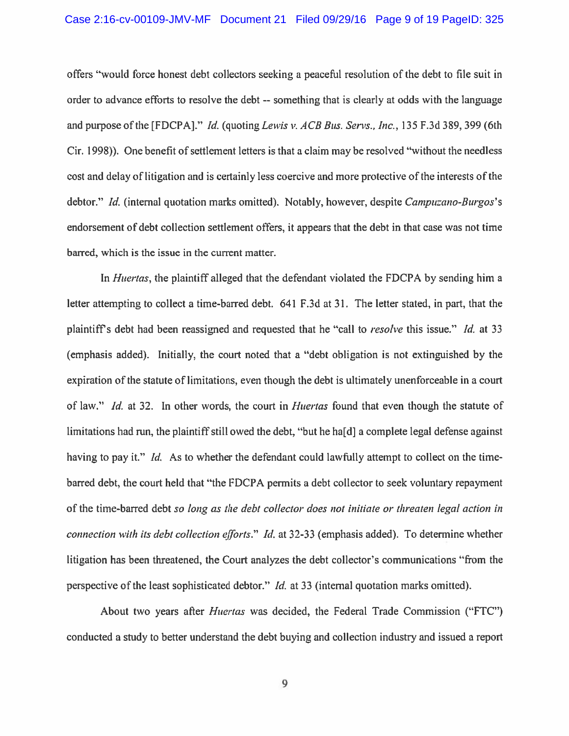offers "would force honest debt collectors seeking <sup>a</sup> peaceful resolution of the debt to file suit in order to advance efforts to resolve the debt -- something that is clearly at odds with the language and purpose of the [FDCPA]." *Id.* (quoting Lewis v. ACB Bus. Servs., Inc., 135 F.3d 389, 399 (6th Cir. 1998)). One benefit of settlement letters is that <sup>a</sup> claim may be resolved "without the needless cost and delay of litigation and is certainly less coercive and more protective of the interests of the debtor." *Id.* (internal quotation marks omitted). Notably, however, despite *Campuzano-Burgos's* endorsement of debt collection settlement offers, it appears that the debt in that case was not time barred, which is the issue in the current matter.

In *Huertas*, the plaintiff alleged that the defendant violated the FDCPA by sending him a letter attempting to collect <sup>a</sup> time-barred debt. 641 F.3d at 31. The letter stated, in part, that the plaintiff's debt had been reassigned and requested that he "call to *resolve* this issue." *Id.* at 33 (emphasis added). Initially, the court noted that <sup>a</sup> "debt obligation is not extinguished by the expiration of the statute of limitations, even though the debt is ultimately unenforceable in <sup>a</sup> court of law." Id. at 32. In other words, the court in *Huertas* found that even though the statute of limitations had run, the plaintiff still owed the debt, "but he ha<sup>[d]</sup> a complete legal defense against having to pay it." Id. As to whether the defendant could lawfully attempt to collect on the timebarred debt, the court held that "the FDCPA permits <sup>a</sup> debt collector to seek voluntary repaymen<sup>t</sup> of the time-barred debt so long as the debt collector does not initiate or threaten legal action in connection with its debt collection efforts." Id. at 32-33 (emphasis added). To determine whether litigation has been threatened, the Court analyzes the debt collector's communications "from the perspective of the least sophisticated debtor." *Id.* at 33 (internal quotation marks omitted).

About two years after Huertas was decided, the Federal Trade Commission ("FTC") conducted <sup>a</sup> study to better understand the debt buying and collection industry and issued <sup>a</sup> repor<sup>t</sup>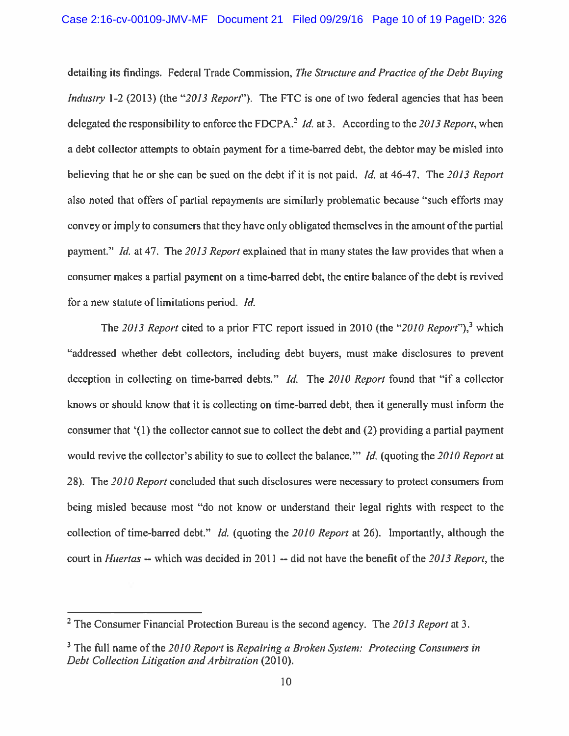detailing its findings. Federal Trade Commission, The Structure and Practice of the Debt Buying Industry 1-2 (2013) (the "2013 Report"). The FTC is one of two federal agencies that has been delegated the responsibility to enforce the FDCPA.<sup>2</sup> *Id.* at 3. According to the 2013 Report, when <sup>a</sup> debt collector attempts to obtain paymen<sup>t</sup> for <sup>a</sup> time-barred debt, the debtor may be misled into believing that he or she can be sued on the debt if it is not paid. *Id.* at 46-47. The 2013 Report also noted that offers of partial repayments are similarly problematic because "such efforts may convey or imply to consumers that they have only obligated themselves in the amount ofthe partial payment." Id. at 47. The 2013 Report explained that in many states the law provides that when a consumer makes <sup>a</sup> partial paymen<sup>t</sup> on <sup>a</sup> time-barred debt, the entire balance of the debt is revived for <sup>a</sup> new statute of limitations period. Id.

The 2013 Report cited to a prior FTC report issued in 2010 (the "2010 Report"),<sup>3</sup> which "addressed whether debt collectors, including debt buyers, must make disclosures to preven<sup>t</sup> deception in collecting on time-barred debts." *Id.* The 2010 Report found that "if a collector knows or should know that it is collecting on time-barred debt, then it generally must inform the consumer that '(1) the collector cannot sue to collect the debt and (2) providing <sup>a</sup> partial paymen<sup>t</sup> would revive the collector's ability to sue to collect the balance." Id. (quoting the 2010 Report at 28). The 2010 Report concluded that such disclosures were necessary to protect consumers from being misled because most "do not know or understand their legal rights with respec<sup>t</sup> to the collection of time-barred debt." *Id.* (quoting the 2010 Report at 26). Importantly, although the court in Huertas -- which was decided in 2011 -- did not have the benefit of the 2013 Report, the

<sup>&</sup>lt;sup>2</sup> The Consumer Financial Protection Bureau is the second agency. The 2013 Report at 3.

 $3$  The full name of the 2010 Report is Repairing a Broken System: Protecting Consumers in Debt Collection Litigation and Arbitration (2010).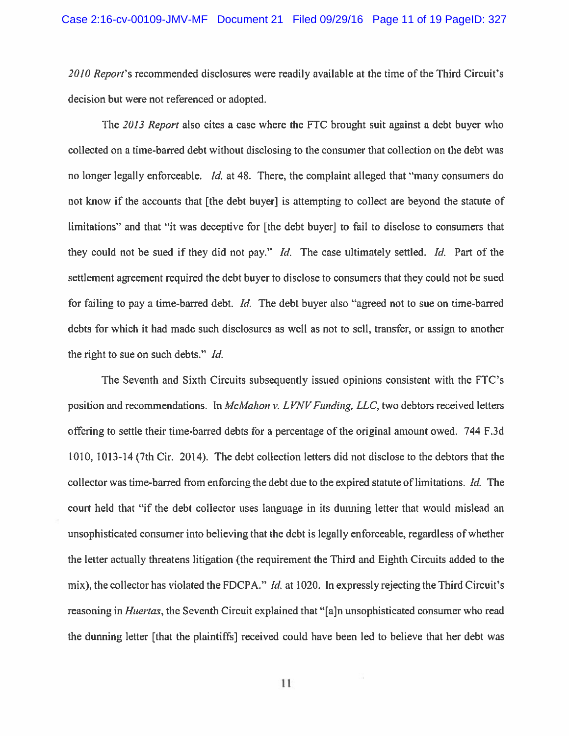2010 Report's recommended disclosures were readily available at the time of the Third Circuit's decision but were not referenced or adopted.

The 2013 Report also cites <sup>a</sup> case where the FTC brought suit against <sup>a</sup> debt buyer who collected on <sup>a</sup> time-barred debt without disclosing to the consumer that collection on the debt was no longer legally enforceable. Id. at 48. There, the complaint alleged that "many consumers do not know if the accounts that [the debt buyer] is attempting to collect are beyond the statute of limitations" and that "it was deceptive for [the debt buyer] to fail to disclose to consumers that they could not be sued if they did not pay." Id. The case ultimately settled. Id. Part of the settlement agreemen<sup>t</sup> required the debt buyer to disclose to consumers that they could not be sued for failing to pay <sup>a</sup> time-barred debt. Id. The debt buyer also "agreed not to sue on time-barred debts for which it had made such disclosures as well as not to sell, transfer, or assign to another the right to sue on such debts." Id.

The Seventh and Sixth Circuits subsequently issued opinions consistent with the FTC's position and recommendations. In McMahon v. LVNV Funding, LLC, two debtors received letters offering to settle their time-barred debts for <sup>a</sup> percentage of the original amount owed. 744 F.3d 1010, 1013-14(7th Cir. 2014). The debt collection letters did not disclose to the debtors that the collector was time-barred from enforcing the debt due to the expired statute of limitations. Id. The court held that "if the debt collector uses language in its dunning letter that would mislead an unsophisticated consumer into believing that the debt is legally enforceable, regardless of whether the letter actually threatens litigation (the requirement the Third and Eighth Circuits added to the mix), the collector has violated the FDCPA." *Id.* at 1020. In expressly rejecting the Third Circuit's reasoning in Huertas, the Seventh Circuit explained that "[a]n unsophisticated consumer who read the dunning letter [that the plaintiffs] received could have been led to believe that her debt was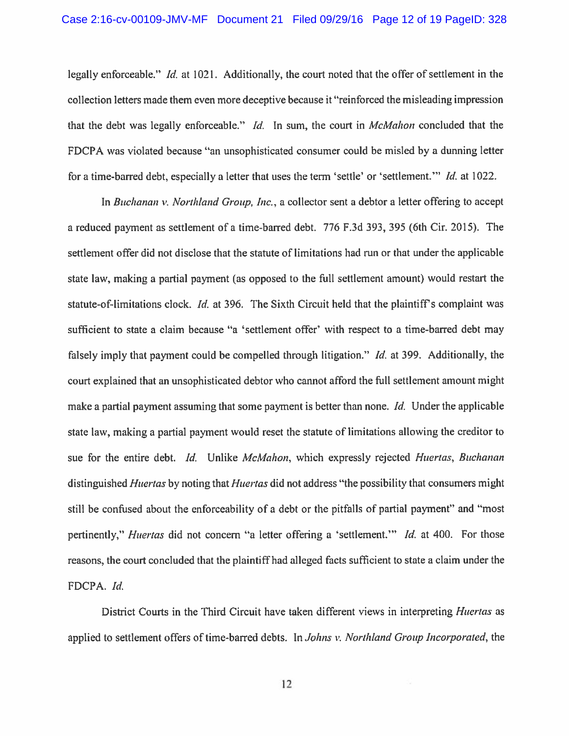legally enforceable." Id. at 1021. Additionally, the court noted that the offer of settlement in the collection letters made them even more deceptive because it "reinforced the misleading impression that the debt was legally enforceable." Id. In sum, the court in McMahon concluded that the FDCPA was violated because "an unsophisticated consumer could be misled by <sup>a</sup> dunning letter for a time-barred debt, especially a letter that uses the term 'settle' or 'settlement.'" Id. at 1022.

In Buchanan v. Northland Group, Inc., a collector sent a debtor a letter offering to accept <sup>a</sup> reduced paymen<sup>t</sup> as settlement of <sup>a</sup> time-barred debt. 776 F.3d 393, 395 (6th Cir. 2015). The settlement offer did not disclose that the statute of limitations had run or that under the applicable state law, making a partial payment (as opposed to the full settlement amount) would restart the statute-of-limitations clock. Id. at 396. The Sixth Circuit held that the plaintiff's complaint was sufficient to state <sup>a</sup> claim because "a 'settlement offer' with respec<sup>t</sup> to <sup>a</sup> time-barred debt may falsely imply that payment could be compelled through litigation." *Id.* at 399. Additionally, the court explained that an unsophisticated debtor who cannot afford the full settlement amount might make a partial payment assuming that some payment is better than none. *Id.* Under the applicable state law, making <sup>a</sup> partial paymen<sup>t</sup> would reset the statute of limitations allowing the creditor to sue for the entire debt. Id. Unlike McMahon, which expressly rejected Huertas, Buchanan distinguished *Huertas* by noting that *Huertas* did not address "the possibility that consumers might still be confused about the enforceability of <sup>a</sup> debt or the pitfalls of partial payment" and "most pertinently," *Huertas* did not concern "a letter offering a 'settlement." *Id.* at 400. For those reasons, the court concluded that the plaintiff had alleged facts sufficient to state <sup>a</sup> claim under the FDCPA. Id.

District Courts in the Third Circuit have taken different views in interpreting Huertas as applied to settlement offers of time-barred debts. In Johns v. Northland Group Incorporated, the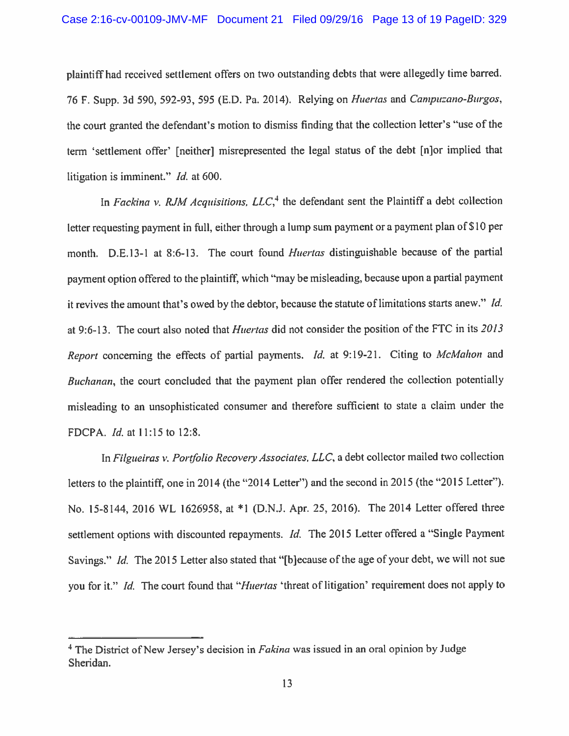<sup>p</sup>laintiff had received settlement offers on two outstanding debts that were allegedly time barred. 76 F. Supp. 3d 590, 592-93, 595 (E.D. Pa. 2014). Relying on Huertas and Campuzano-Burgos, the court granted the defendant's motion to dismiss finding that the collection letter's "use of the term 'settlement offer' [neither] misrepresented the legal status of the debt [n]or implied that litigation is imminent." *Id.* at 600.

In Fackina v. RJM Acquisitions,  $LLC<sup>4</sup>$  the defendant sent the Plaintiff a debt collection letter requesting payment in full, either through a lump sum payment or a payment plan of \$10 per month. D.E.13-1 at 8:6-13. The court found *Huertas* distinguishable because of the partial paymen<sup>t</sup> option offered to the <sup>p</sup>laintiff, which "may be misleading, because upon <sup>a</sup> partial paymen<sup>t</sup> it revives the amount that's owed by the debtor, because the statute of limitations starts anew." Id. at 9:6-13. The court also noted that Huertas did not consider the position of the FTC in its 2013 Report concerning the effects of partial payments. *Id.* at 9:19-21. Citing to *McMahon* and Buchanan, the court concluded that the payment plan offer rendered the collection potentially misleading to an unsophisticated consumer and therefore sufficient to state <sup>a</sup> claim under the FDCPA. *Id.* at 11:15 to 12:8.

In Filgueiras v. Portfolio Recovery Associates, LLC, a debt collector mailed two collection letters to the <sup>p</sup>laintiff, one in <sup>2014</sup> (the "2014 Letter") and the second in <sup>2015</sup> (the "2015 Letter"). No. 15-8144, <sup>2016</sup> WL 1626958, at \*1 (D.NJ. Apr. 25, 2016). The <sup>2014</sup> Letter offered three settlement options with discounted repayments. *Id.* The 2015 Letter offered a "Single Payment Savings." *Id.* The 2015 Letter also stated that "[b]ecause of the age of your debt, we will not sue you for it." Id. The court found that "Huertas 'threat of litigation' requirement does not apply to

<sup>&</sup>lt;sup>4</sup> The District of New Jersey's decision in *Fakina* was issued in an oral opinion by Judge Sheridan.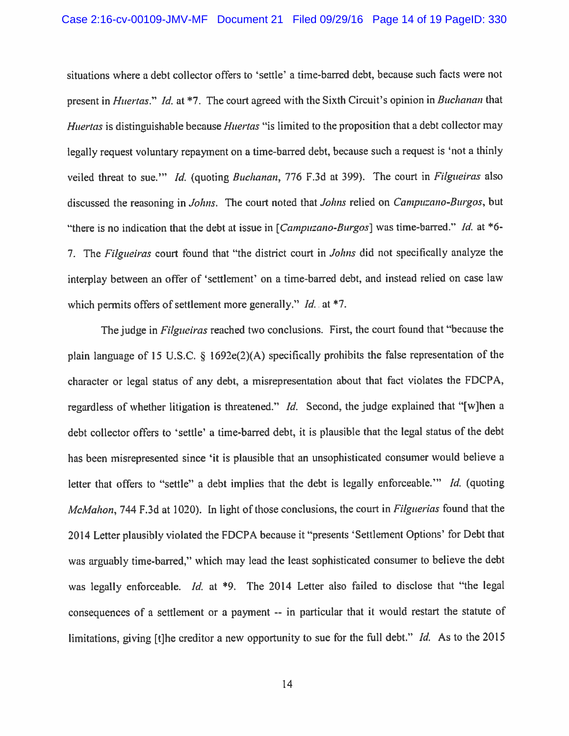situations where <sup>a</sup> debt collector offers to 'settle' <sup>a</sup> time-barred debt, because such facts were not present in *Huertas.*" *Id.* at \*7. The court agreed with the Sixth Circuit's opinion in *Buchanan* that Huertas is distinguishable because Huertas "is limited to the proposition that a debt collector may legally request voluntary repayment on a time-barred debt, because such a request is 'not a thinly veiled threat to sue."" Id. (quoting Buchanan, 776 F.3d at 399). The court in Filgueiras also discussed the reasoning in Johns. The court noted that Johns relied on Campuzano-Burgos, but "there is no indication that the debt at issue in  $[Campuzano-Burgos]$  was time-barred." Id. at \*6-7. The Filgueiras court found that "the district court in *Johns* did not specifically analyze the interplay between an offer of 'settlement' on <sup>a</sup> time-bared debt, and instead relied on case law which permits offers of settlement more generally."  $Id$ . at \*7.

The judge in *Filgueiras* reached two conclusions. First, the court found that "because the <sup>p</sup>lain language of <sup>15</sup> U.S.C. § 1692e(2)(A) specifically prohibits the false representation of the character or legal status of any debt, <sup>a</sup> misrepresentation about that fact violates the FDCPA, regardless of whether litigation is threatened." *Id.* Second, the judge explained that "[w]hen a debt collector offers to 'settle' <sup>a</sup> time-bared debt, it is <sup>p</sup>lausible that the legal status of the debt has been misrepresented since 'it is <sup>p</sup>lausible that an unsophisticated consumer would believe <sup>a</sup> letter that offers to "settle" a debt implies that the debt is legally enforceable." Id. (quoting McMahon, 744 F.3d at 1020). In light of those conclusions, the court in Filguerias found that the <sup>2014</sup> Letter <sup>p</sup>lausibly violated the FDCPA because it "presents 'Settlement Options' for Debt that was arguably time-bared," which may lead the least sophisticated consumer to believe the debt was legally enforceable. Id. at  $*9$ . The 2014 Letter also failed to disclose that "the legal consequences of <sup>a</sup> settlement or <sup>a</sup> paymen<sup>t</sup> -- in particular that it would restart the statute of limitations, giving [t]he creditor a new opportunity to sue for the full debt." Id. As to the 2015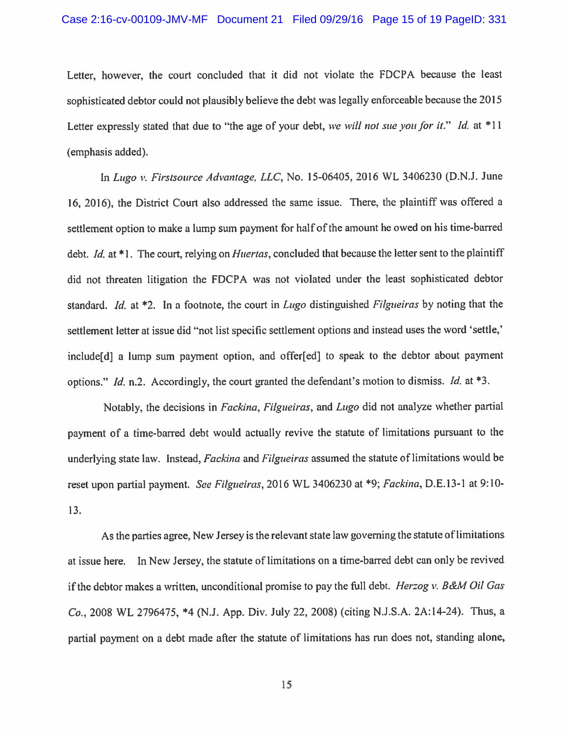Letter, however, the court concluded that it did not violate the FDCPA because the least sophisticated debtor could not <sup>p</sup>lausibly believe the debt was legally enforceable because the <sup>2015</sup> Letter expressly stated that due to "the age of your debt, we will not sue you for it." Id. at \*11 (emphasis added).

In Lugo v. Firstsource Advantage, LLC, No. 15-06405, 2016 WL 3406230 (D.N.J. June 16, 2016), the District Court also addressed the same issue. There, the <sup>p</sup>laintiff was offered <sup>a</sup> settlement option to make a lump sum payment for half of the amount he owed on his time-barred debt. *Id.* at \*1. The court, relying on *Huertas*, concluded that because the letter sent to the plaintiff did not threaten litigation the FDCPA was not violated under the least sophisticated debtor standard. Id. at  $*2$ . In a footnote, the court in Lugo distinguished Filgueiras by noting that the settlement letter at issue did "not list specific settlement options and instead uses the word 'settle,' include[d] <sup>a</sup> lump sum paymen<sup>t</sup> option, and offer[ed] to spea<sup>k</sup> to the debtor about paymen<sup>t</sup> options." Id. n.2. Accordingly, the court granted the defendant's motion to dismiss. Id. at  $*3$ .

Notably, the decisions in Fackina, Filgueiras, and Lugo did not analyze whether partial paymen<sup>t</sup> of <sup>a</sup> time-barred debt would actually revive the statute of limitations pursuan<sup>t</sup> to the underlying state law. Instead, Fackina and Filgueiras assumed the statute of limitations would be reset upon partial payment. See Filgueiras, 2016 WL 3406230 at \*9; Fackina, D.E.13-1 at 9:10-13.

As the parties agree, New Jersey is the relevant state law governing the statute of limitations at issue here. In New Jersey, the statute of limitations on <sup>a</sup> time-barred debt can only be revived if the debtor makes a written, unconditional promise to pay the full debt. *Herzog v. B&M Oil Gas* Co.. <sup>2008</sup> WL 2796475, \*4 (N.J. App. Div. July 22, 2008) (citing N.J.S.A. 2A:14-24). Thus, <sup>a</sup> partial paymen<sup>t</sup> on <sup>a</sup> debt made after the statute of limitations has run does not, standing alone,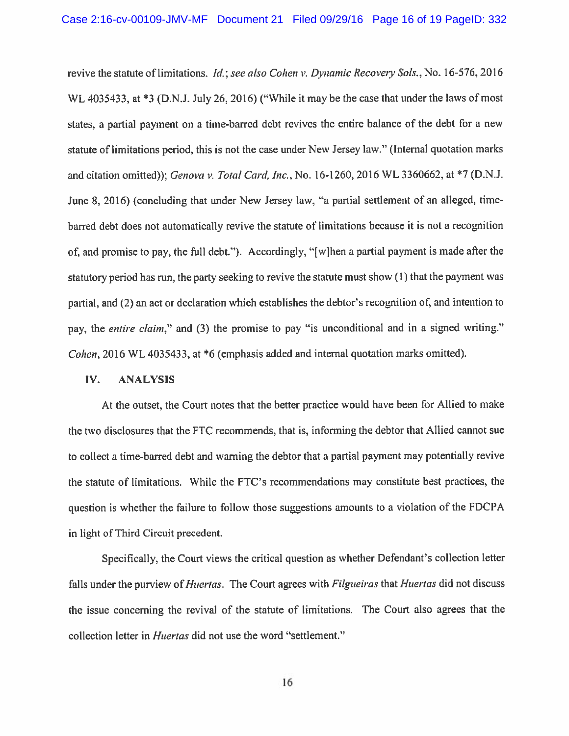revive the statute of limitations. *Id.; see also Cohen v. Dynamic Recovery Sols.*, No. 16-576, 2016 WL 4035433, at \*3 (D.N.J. July 26, 2016) ("While it may be the case that under the laws of most states, <sup>a</sup> partial paymen<sup>t</sup> on <sup>a</sup> time-barred debt revives the entire balance of the debt for <sup>a</sup> new statute of limitations period, this is not the case under New Jersey law." (Internal quotation marks and citation omitted)); Genova v. Total Card, Inc., No. 16-1260, <sup>2016</sup> WL 3360662, at \*7 (D.N.J. June 8, 2016) (concluding that under New Jersey law, "a partial settlement of an alleged, timebarred debt does not automatically revive the statute of limitations because it is not <sup>a</sup> recognition of, and promise to pay, the full debt."). Accordingly, "[w]hen <sup>a</sup> partial paymen<sup>t</sup> is made after the statutory period has run, the party seeking to revive the statute must show (I) that the paymen<sup>t</sup> was partial, and (2) an act or declaration which establishes the debtor's recognition of, and intention to pay, the *entire claim*," and (3) the promise to pay "is unconditional and in a signed writing." Cohen. <sup>2016</sup> WL 4035433, at \*6 (emphasis added and internal quotation marks omitted).

#### IV. ANALYSIS

At the outset, the Court notes that the better practice would have been for Allied to make the two disclosures that the FTC recommends, that is, informing the debtor that Allied cannot sue to collect <sup>a</sup> time-barred debt and warning the debtor that <sup>a</sup> partial paymen<sup>t</sup> may potentially revive the statute of limitations. While the FTC's recommendations may constitute best practices, the question is whether the failure to follow those suggestions amounts to <sup>a</sup> violation of the FDCPA in light of Third Circuit precedent.

Specifically, the Court views the critical question as whether Defendant's collection letter falls under the purview of *Huertas*. The Court agrees with *Filgueiras* that *Huertas* did not discuss the issue concerning the revival of the statute of limitations. The Court also agrees that the collection letter in Huertas did not use the word "settlement."

16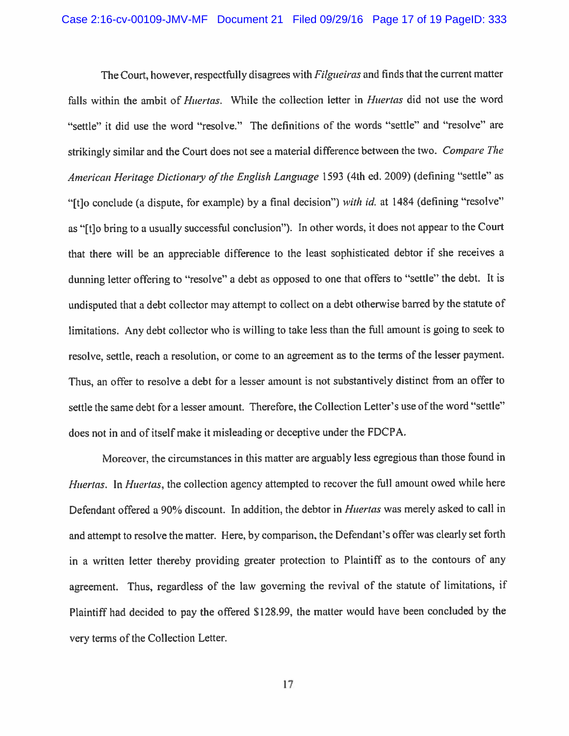The Court, however, respectfully disagrees with *Filgueiras* and finds that the current matter falls within the ambit of *Huertas*. While the collection letter in *Huertas* did not use the word "settle" it did use the word "resolve." The definitions of the words "settle" and "resolve" are strikingly similar and the Court does not see <sup>a</sup> material difference between the two. Compare The American Heritage Dictionary of the English Language 1593 (4th ed. 2009) (defining "settle" as "[t] conclude (a dispute, for example) by a final decision") with id. at 1484 (defining "resolve" as "[t] to bring to a usually successful conclusion"). In other words, it does not appear to the Court that there will be an appreciable difference to the least sophisticated debtor if she receives <sup>a</sup> dunning letter offering to "resolve" <sup>a</sup> debt as oppose<sup>d</sup> to one that offers to "settle" the debt. It is undisputed that <sup>a</sup> debt collector may attempt to collect on <sup>a</sup> debt otherwise barred by the statute of limitations. Any debt collector who is willing to take less than the full amount is going to seek to resolve, settle, reach a resolution, or come to an agreement as to the terms of the lesser payment. Thus, an offer to resolve <sup>a</sup> debt for <sup>a</sup> lesser amount is not substantively distinct from an offer to settle the same debt for a lesser amount. Therefore, the Collection Letter's use of the word "settle" does not in and of itself make it misleading or deceptive under the FDCPA.

Moreover, the circumstances in this matter are arguably less egregious than those found in Huertas. In Huertas, the collection agency attempted to recover the full amount owed while here Defendant offered a 90% discount. In addition, the debtor in *Huertas* was merely asked to call in and attempt to resolve the matter. Here, by comparison, the Defendant's offer was clearly set forth in <sup>a</sup> written letter thereby providing greater protection to Plaintiff as to the contours of any agreement. Thus, regardless of the law governing the revival of the statute of limitations, if Plaintiff had decided to pay the offered \$128.99, the matter would have been concluded by the very terms of the Collection Letter.

17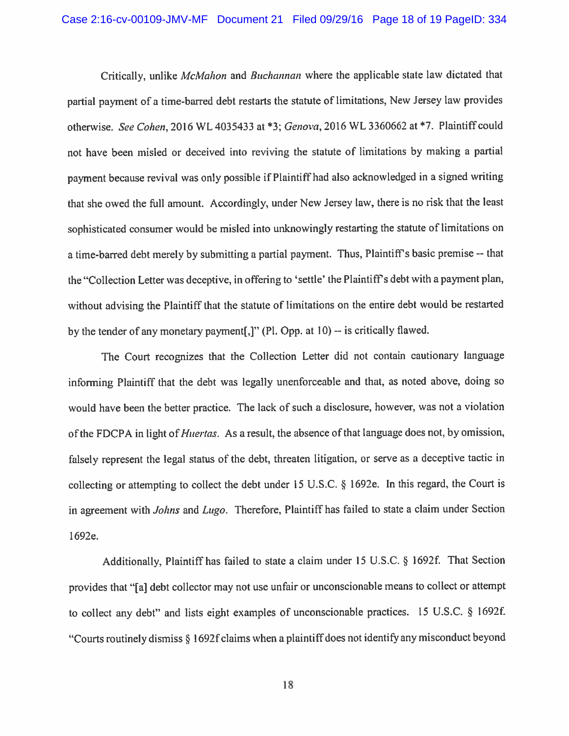Critically, unlike *McMahon* and *Buchannan* where the applicable state law dictated that partial paymen<sup>t</sup> of <sup>a</sup> time-barred debt restarts the statute of limitations, New Jersey law provides otherwise. See Cohen, 2016 WL 4035433 at \*3; Genova, 2016 WL 3360662 at \*7. Plaintiff could not have been misled or deceived into reviving the statute of limitations by making <sup>a</sup> partial paymen<sup>t</sup> because revival was only possible if Plaintiff had also acknowledged in <sup>a</sup> signed writing that she owed the full amount. Accordingly, under New Jersey law, there is no risk that the least sophisticated consumer would be misled into unknowingly restarting the statute of limitations on a time-barred debt merely by submitting a partial payment. Thus, Plaintiff's basic premise -- that the "Collection Letter was deceptive, in offering to 'settle' the Plaintiff's debt with a payment plan, without advising the Plaintiff that the statute of limitations on the entire debt would be restarted by the tender of any monetary payment  $[$ ,  $]$ " (Pl. Opp. at 10) -- is critically flawed.

The Court recognizes that the Collection Letter did not contain cautionary language informing Plaintiff that the debt was legally unenforceable and that, as noted above, doing so would have been the better practice. The lack of such <sup>a</sup> disclosure, however, was not <sup>a</sup> violation of the FDCPA in light of *Huertas*. As a result, the absence of that language does not, by omission, falsely represen<sup>t</sup> the legal status of the debt, threaten litigation, or serve as <sup>a</sup> deceptive tactic in collecting or attempting to collect the debt under <sup>15</sup> U.S.C. § 1692e. In this regard, the Court is in agreement with Johns and Lugo. Therefore, Plaintiff has failed to state a claim under Section l692e.

Additionally, Plaintiff has failed to state a claim under  $15 \text{ U.S.C. }$  § 1692f. That Section provides that "[a] debt collector may not use unfair or unconscionable means to collect or attempt to collect any debt" and lists eight examples of unconscionable practices. <sup>15</sup> U.S.C. § l692f. "Courts routinely dismiss § 1692f claims when a plaintiff does not identify any misconduct beyond

18